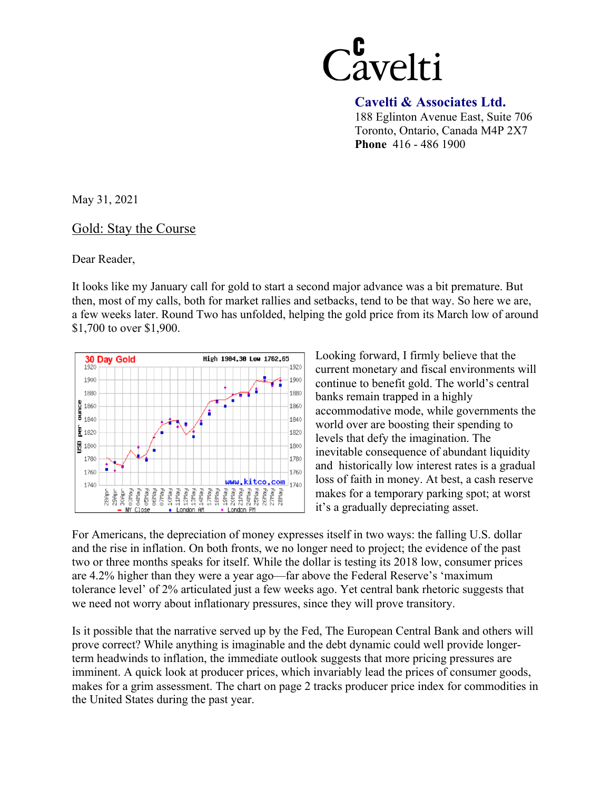

 **Cavelti & Associates Ltd.** 

188 Eglinton Avenue East, Suite 706 Toronto, Ontario, Canada M4P 2X7 **Phone** 416 - 486 1900

May 31, 2021

Gold: Stay the Course

Dear Reader,

It looks like my January call for gold to start a second major advance was a bit premature. But then, most of my calls, both for market rallies and setbacks, tend to be that way. So here we are, a few weeks later. Round Two has unfolded, helping the gold price from its March low of around \$1,700 to over \$1,900.



Looking forward, I firmly believe that the current monetary and fiscal environments will continue to benefit gold. The world's central banks remain trapped in a highly accommodative mode, while governments the world over are boosting their spending to levels that defy the imagination. The inevitable consequence of abundant liquidity and historically low interest rates is a gradual loss of faith in money. At best, a cash reserve makes for a temporary parking spot; at worst it's a gradually depreciating asset.

For Americans, the depreciation of money expresses itself in two ways: the falling U.S. dollar and the rise in inflation. On both fronts, we no longer need to project; the evidence of the past two or three months speaks for itself. While the dollar is testing its 2018 low, consumer prices are 4.2% higher than they were a year ago—far above the Federal Reserve's 'maximum tolerance level' of 2% articulated just a few weeks ago. Yet central bank rhetoric suggests that we need not worry about inflationary pressures, since they will prove transitory.

Is it possible that the narrative served up by the Fed, The European Central Bank and others will prove correct? While anything is imaginable and the debt dynamic could well provide longerterm headwinds to inflation, the immediate outlook suggests that more pricing pressures are imminent. A quick look at producer prices, which invariably lead the prices of consumer goods, makes for a grim assessment. The chart on page 2 tracks producer price index for commodities in the United States during the past year.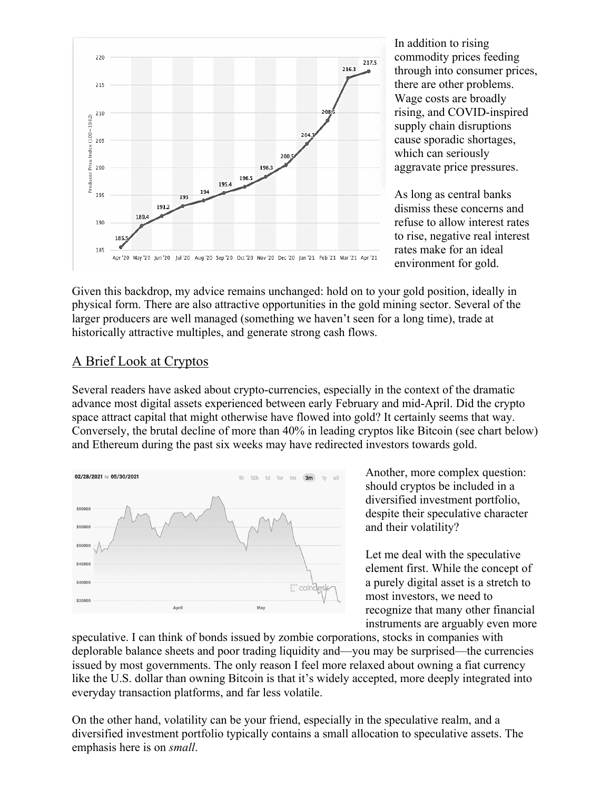

In addition to rising commodity prices feeding through into consumer prices, there are other problems. Wage costs are broadly rising, and COVID-inspired supply chain disruptions cause sporadic shortages, which can seriously aggravate price pressures.

As long as central banks dismiss these concerns and refuse to allow interest rates to rise, negative real interest rates make for an ideal environment for gold.

Given this backdrop, my advice remains unchanged: hold on to your gold position, ideally in physical form. There are also attractive opportunities in the gold mining sector. Several of the larger producers are well managed (something we haven't seen for a long time), trade at historically attractive multiples, and generate strong cash flows.

## A Brief Look at Cryptos

Several readers have asked about crypto-currencies, especially in the context of the dramatic advance most digital assets experienced between early February and mid-April. Did the crypto space attract capital that might otherwise have flowed into gold? It certainly seems that way. Conversely, the brutal decline of more than 40% in leading cryptos like Bitcoin (see chart below) and Ethereum during the past six weeks may have redirected investors towards gold.



Another, more complex question: should cryptos be included in a diversified investment portfolio, despite their speculative character and their volatility?

Let me deal with the speculative element first. While the concept of a purely digital asset is a stretch to most investors, we need to recognize that many other financial instruments are arguably even more

speculative. I can think of bonds issued by zombie corporations, stocks in companies with deplorable balance sheets and poor trading liquidity and—you may be surprised—the currencies issued by most governments. The only reason I feel more relaxed about owning a fiat currency like the U.S. dollar than owning Bitcoin is that it's widely accepted, more deeply integrated into everyday transaction platforms, and far less volatile.

On the other hand, volatility can be your friend, especially in the speculative realm, and a diversified investment portfolio typically contains a small allocation to speculative assets. The emphasis here is on *small*.